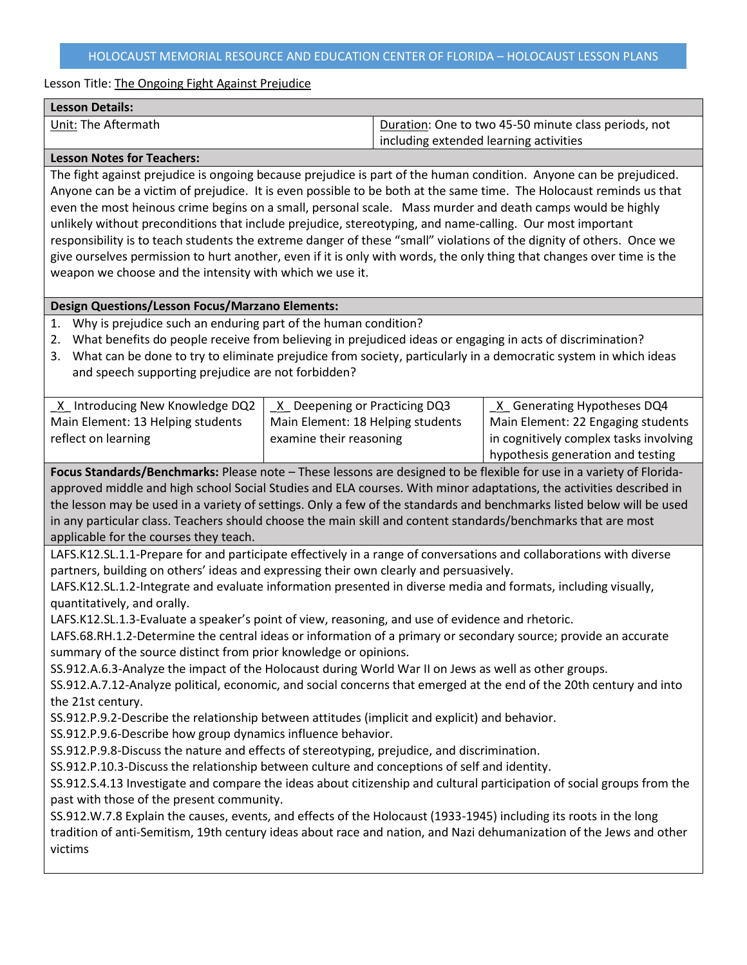| Duration: One to two 45-50 minute class periods, not |
|------------------------------------------------------|
| including extended learning activities               |
|                                                      |

# **Lesson Notes for Teachers:**

The fight against prejudice is ongoing because prejudice is part of the human condition. Anyone can be prejudiced. Anyone can be a victim of prejudice. It is even possible to be both at the same time. The Holocaust reminds us that even the most heinous crime begins on a small, personal scale. Mass murder and death camps would be highly unlikely without preconditions that include prejudice, stereotyping, and name-calling. Our most important responsibility is to teach students the extreme danger of these "small" violations of the dignity of others. Once we give ourselves permission to hurt another, even if it is only with words, the only thing that changes over time is the weapon we choose and the intensity with which we use it.

# **Design Questions/Lesson Focus/Marzano Elements:**

- 1. Why is prejudice such an enduring part of the human condition?
- 2. What benefits do people receive from believing in prejudiced ideas or engaging in acts of discrimination?
- 3. What can be done to try to eliminate prejudice from society, particularly in a democratic system in which ideas and speech supporting prejudice are not forbidden?

| X Introducing New Knowledge DQ2   | X Deepening or Practicing DQ3     | X Generating Hypotheses DQ4            |
|-----------------------------------|-----------------------------------|----------------------------------------|
| Main Element: 13 Helping students | Main Element: 18 Helping students | Main Element: 22 Engaging students     |
| reflect on learning               | examine their reasoning           | in cognitively complex tasks involving |
|                                   |                                   | hypothesis generation and testing      |

**Focus Standards/Benchmarks:** Please note – These lessons are designed to be flexible for use in a variety of Floridaapproved middle and high school Social Studies and ELA courses. With minor adaptations, the activities described in the lesson may be used in a variety of settings. Only a few of the standards and benchmarks listed below will be used in any particular class. Teachers should choose the main skill and content standards/benchmarks that are most applicable for the courses they teach.

LAFS.K12.SL.1.1-Prepare for and participate effectively in a range of conversations and collaborations with diverse partners, building on others' ideas and expressing their own clearly and persuasively.

LAFS.K12.SL.1.2-Integrate and evaluate information presented in diverse media and formats, including visually, quantitatively, and orally.

LAFS.K12.SL.1.3-Evaluate a speaker's point of view, reasoning, and use of evidence and rhetoric.

LAFS.68.RH.1.2-Determine the central ideas or information of a primary or secondary source; provide an accurate summary of the source distinct from prior knowledge or opinions.

SS.912.A.6.3-Analyze the impact of the Holocaust during World War II on Jews as well as other groups.

SS.912.A.7.12-Analyze political, economic, and social concerns that emerged at the end of the 20th century and into the 21st century.

SS.912.P.9.2-Describe the relationship between attitudes (implicit and explicit) and behavior.

SS.912.P.9.6-Describe how group dynamics influence behavior.

SS.912.P.9.8-Discuss the nature and effects of stereotyping, prejudice, and discrimination.

SS.912.P.10.3-Discuss the relationship between culture and conceptions of self and identity.

SS.912.S.4.13 Investigate and compare the ideas about citizenship and cultural participation of social groups from the past with those of the present community.

SS.912.W.7.8 Explain the causes, events, and effects of the Holocaust (1933-1945) including its roots in the long tradition of anti-Semitism, 19th century ideas about race and nation, and Nazi dehumanization of the Jews and other victims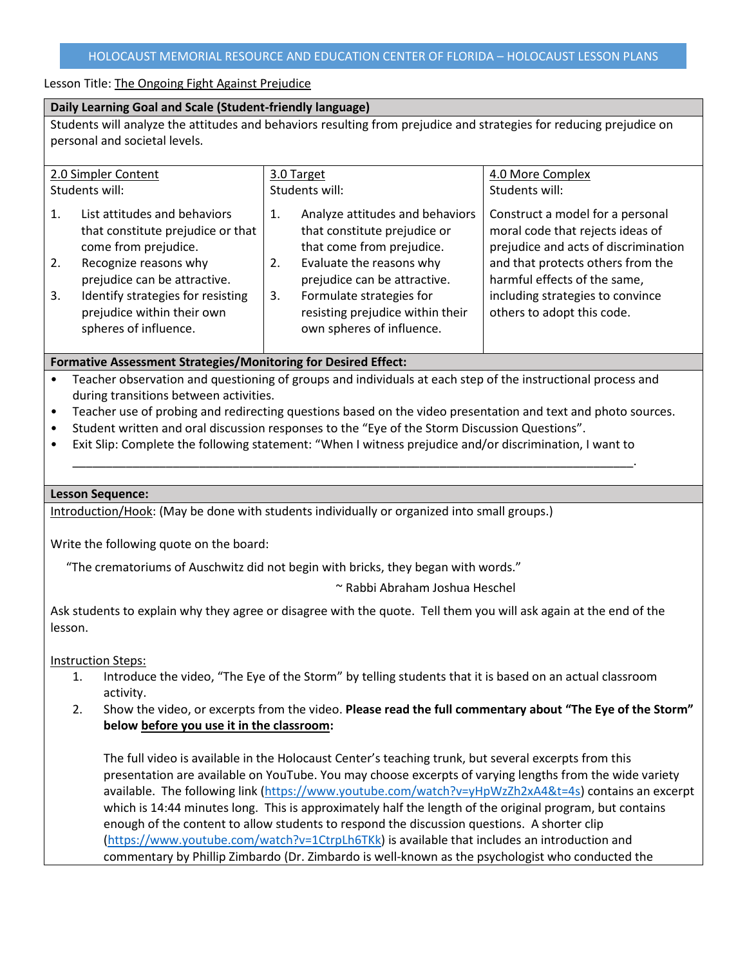### **Daily Learning Goal and Scale (Student-friendly language)**

Students will analyze the attitudes and behaviors resulting from prejudice and strategies for reducing prejudice on personal and societal levels.

| 2.0 Simpler Content |                                                                                           | 3.0 Target     |                                                                                              | 4.0 More Complex                                                                                             |
|---------------------|-------------------------------------------------------------------------------------------|----------------|----------------------------------------------------------------------------------------------|--------------------------------------------------------------------------------------------------------------|
| Students will:      |                                                                                           | Students will: |                                                                                              | Students will:                                                                                               |
| $\mathbf{1}$ .      | List attitudes and behaviors<br>that constitute prejudice or that<br>come from prejudice. | 1.             | Analyze attitudes and behaviors<br>that constitute prejudice or<br>that come from prejudice. | Construct a model for a personal<br>moral code that rejects ideas of<br>prejudice and acts of discrimination |
| 2.                  | Recognize reasons why<br>prejudice can be attractive.                                     | 2.             | Evaluate the reasons why<br>prejudice can be attractive.                                     | and that protects others from the<br>harmful effects of the same,                                            |
| 3.                  | Identify strategies for resisting<br>prejudice within their own<br>spheres of influence.  | 3.             | Formulate strategies for<br>resisting prejudice within their<br>own spheres of influence.    | including strategies to convince<br>others to adopt this code.                                               |

# **Formative Assessment Strategies/Monitoring for Desired Effect:**

• Teacher observation and questioning of groups and individuals at each step of the instructional process and during transitions between activities.

\_\_\_\_\_\_\_\_\_\_\_\_\_\_\_\_\_\_\_\_\_\_\_\_\_\_\_\_\_\_\_\_\_\_\_\_\_\_\_\_\_\_\_\_\_\_\_\_\_\_\_\_\_\_\_\_\_\_\_\_\_\_\_\_\_\_\_\_\_\_\_\_\_\_\_\_\_\_\_\_\_\_\_\_.

- Teacher use of probing and redirecting questions based on the video presentation and text and photo sources.
- Student written and oral discussion responses to the "Eye of the Storm Discussion Questions".
- Exit Slip: Complete the following statement: "When I witness prejudice and/or discrimination, I want to

### **Lesson Sequence:**

Introduction/Hook: (May be done with students individually or organized into small groups.)

Write the following quote on the board:

"The crematoriums of Auschwitz did not begin with bricks, they began with words."

~ Rabbi Abraham Joshua Heschel

Ask students to explain why they agree or disagree with the quote. Tell them you will ask again at the end of the lesson.

Instruction Steps:

- 1. Introduce the video, "The Eye of the Storm" by telling students that it is based on an actual classroom activity.
- 2. Show the video, or excerpts from the video. **Please read the full commentary about "The Eye of the Storm" below before you use it in the classroom:**

The full video is available in the Holocaust Center's teaching trunk, but several excerpts from this presentation are available on YouTube. You may choose excerpts of varying lengths from the wide variety available. The following link [\(https://www.youtube.com/watch?v=yHpWzZh2xA4&t=4s\)](https://www.youtube.com/watch?v=yHpWzZh2xA4&t=4s) contains an excerpt which is 14:44 minutes long. This is approximately half the length of the original program, but contains enough of the content to allow students to respond the discussion questions. A shorter clip [\(https://www.youtube.com/watch?v=1CtrpLh6TKk\)](https://www.youtube.com/watch?v=1CtrpLh6TKk) is available that includes an introduction and commentary by Phillip Zimbardo (Dr. Zimbardo is well-known as the psychologist who conducted the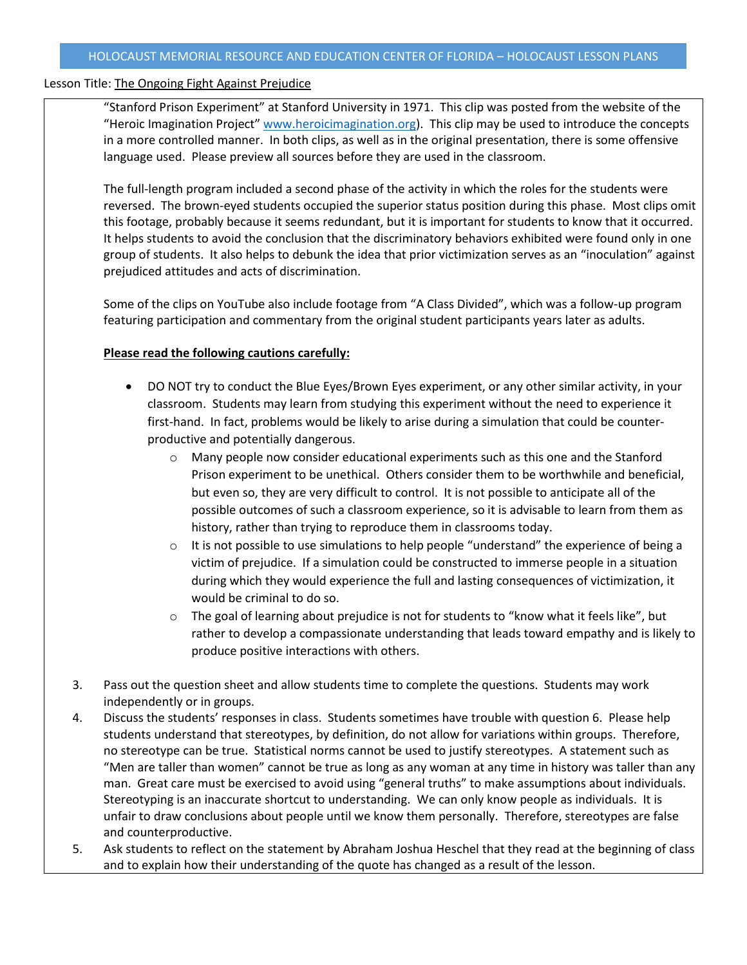"Stanford Prison Experiment" at Stanford University in 1971. This clip was posted from the website of the "Heroic Imagination Project" [www.heroicimagination.org\)](http://www.heroicimagination.org/). This clip may be used to introduce the concepts in a more controlled manner. In both clips, as well as in the original presentation, there is some offensive language used. Please preview all sources before they are used in the classroom.

The full-length program included a second phase of the activity in which the roles for the students were reversed. The brown-eyed students occupied the superior status position during this phase. Most clips omit this footage, probably because it seems redundant, but it is important for students to know that it occurred. It helps students to avoid the conclusion that the discriminatory behaviors exhibited were found only in one group of students. It also helps to debunk the idea that prior victimization serves as an "inoculation" against prejudiced attitudes and acts of discrimination.

Some of the clips on YouTube also include footage from "A Class Divided", which was a follow-up program featuring participation and commentary from the original student participants years later as adults.

# **Please read the following cautions carefully:**

- DO NOT try to conduct the Blue Eyes/Brown Eyes experiment, or any other similar activity, in your classroom. Students may learn from studying this experiment without the need to experience it first-hand. In fact, problems would be likely to arise during a simulation that could be counterproductive and potentially dangerous.
	- $\circ$  Many people now consider educational experiments such as this one and the Stanford Prison experiment to be unethical. Others consider them to be worthwhile and beneficial, but even so, they are very difficult to control. It is not possible to anticipate all of the possible outcomes of such a classroom experience, so it is advisable to learn from them as history, rather than trying to reproduce them in classrooms today.
	- $\circ$  It is not possible to use simulations to help people "understand" the experience of being a victim of prejudice. If a simulation could be constructed to immerse people in a situation during which they would experience the full and lasting consequences of victimization, it would be criminal to do so.
	- $\circ$  The goal of learning about prejudice is not for students to "know what it feels like", but rather to develop a compassionate understanding that leads toward empathy and is likely to produce positive interactions with others.
- 3. Pass out the question sheet and allow students time to complete the questions. Students may work independently or in groups.
- 4. Discuss the students' responses in class. Students sometimes have trouble with question 6. Please help students understand that stereotypes, by definition, do not allow for variations within groups. Therefore, no stereotype can be true. Statistical norms cannot be used to justify stereotypes. A statement such as "Men are taller than women" cannot be true as long as any woman at any time in history was taller than any man. Great care must be exercised to avoid using "general truths" to make assumptions about individuals. Stereotyping is an inaccurate shortcut to understanding. We can only know people as individuals. It is unfair to draw conclusions about people until we know them personally. Therefore, stereotypes are false and counterproductive.
- 5. Ask students to reflect on the statement by Abraham Joshua Heschel that they read at the beginning of class and to explain how their understanding of the quote has changed as a result of the lesson.